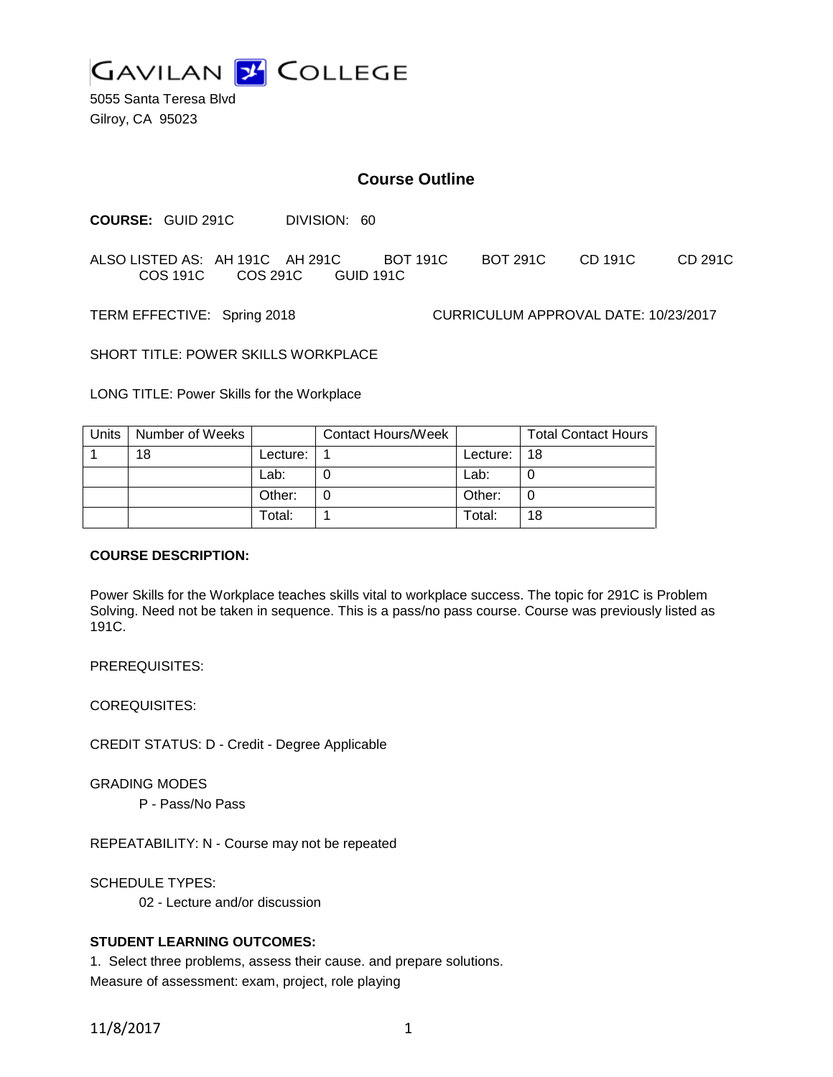

5055 Santa Teresa Blvd Gilroy, CA 95023

## **Course Outline**

**COURSE:** GUID 291C DIVISION: 60

ALSO LISTED AS: AH 191C AH 291C BOT 191C BOT 291C CD 191C CD 291C COS 191C COS 291C GUID 191C

TERM EFFECTIVE: Spring 2018 CURRICULUM APPROVAL DATE: 10/23/2017

SHORT TITLE: POWER SKILLS WORKPLACE

LONG TITLE: Power Skills for the Workplace

| Units   Number of Weeks |          | Contact Hours/Week |          | <b>Total Contact Hours</b> |
|-------------------------|----------|--------------------|----------|----------------------------|
| 18                      | Lecture: |                    | Lecture: | -18                        |
|                         | Lab:     |                    | Lab:     |                            |
|                         | Other:   |                    | Other:   | 0                          |
|                         | Total:   |                    | Total:   | 18                         |

#### **COURSE DESCRIPTION:**

Power Skills for the Workplace teaches skills vital to workplace success. The topic for 291C is Problem Solving. Need not be taken in sequence. This is a pass/no pass course. Course was previously listed as 191C.

PREREQUISITES:

COREQUISITES:

CREDIT STATUS: D - Credit - Degree Applicable

GRADING MODES

P - Pass/No Pass

REPEATABILITY: N - Course may not be repeated

SCHEDULE TYPES:

02 - Lecture and/or discussion

#### **STUDENT LEARNING OUTCOMES:**

1. Select three problems, assess their cause. and prepare solutions. Measure of assessment: exam, project, role playing

11/8/2017 1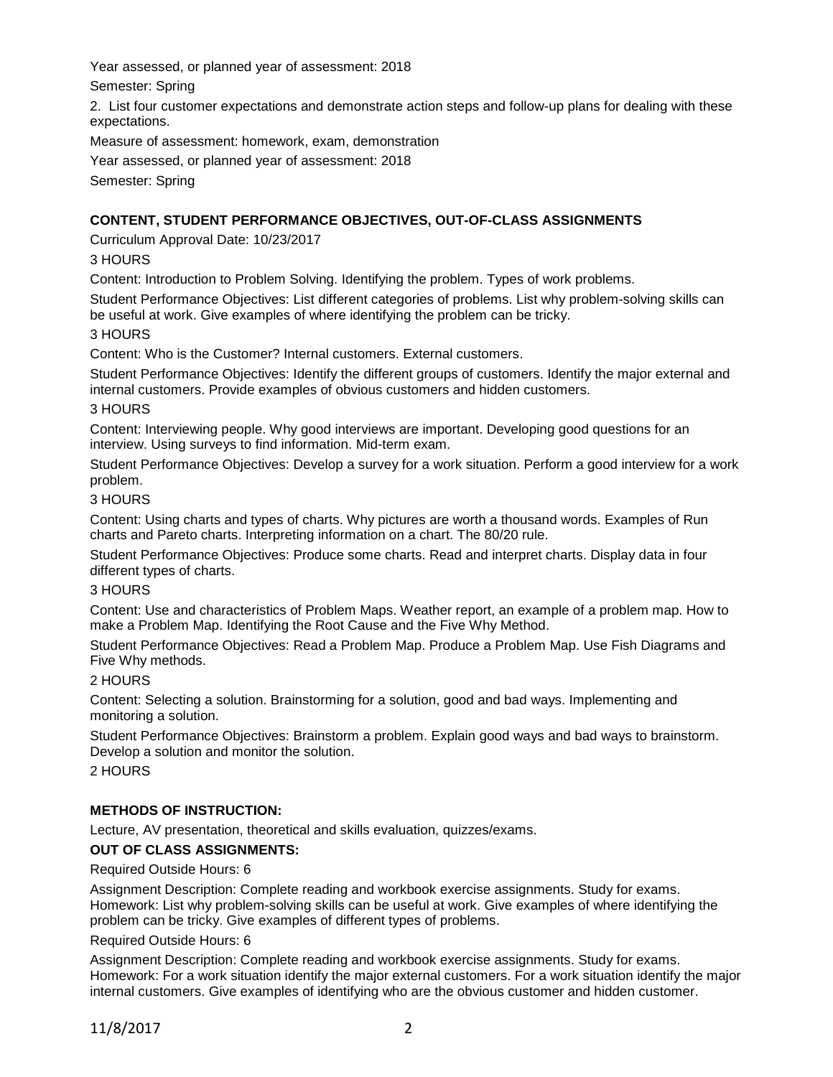Year assessed, or planned year of assessment: 2018

Semester: Spring

2. List four customer expectations and demonstrate action steps and follow-up plans for dealing with these expectations.

Measure of assessment: homework, exam, demonstration

Year assessed, or planned year of assessment: 2018

Semester: Spring

# **CONTENT, STUDENT PERFORMANCE OBJECTIVES, OUT-OF-CLASS ASSIGNMENTS**

Curriculum Approval Date: 10/23/2017

# 3 HOURS

Content: Introduction to Problem Solving. Identifying the problem. Types of work problems.

Student Performance Objectives: List different categories of problems. List why problem-solving skills can be useful at work. Give examples of where identifying the problem can be tricky.

## 3 HOURS

Content: Who is the Customer? Internal customers. External customers.

Student Performance Objectives: Identify the different groups of customers. Identify the major external and internal customers. Provide examples of obvious customers and hidden customers.

### 3 HOURS

Content: Interviewing people. Why good interviews are important. Developing good questions for an interview. Using surveys to find information. Mid-term exam.

Student Performance Objectives: Develop a survey for a work situation. Perform a good interview for a work problem.

## 3 HOURS

Content: Using charts and types of charts. Why pictures are worth a thousand words. Examples of Run charts and Pareto charts. Interpreting information on a chart. The 80/20 rule.

Student Performance Objectives: Produce some charts. Read and interpret charts. Display data in four different types of charts.

### 3 HOURS

Content: Use and characteristics of Problem Maps. Weather report, an example of a problem map. How to make a Problem Map. Identifying the Root Cause and the Five Why Method.

Student Performance Objectives: Read a Problem Map. Produce a Problem Map. Use Fish Diagrams and Five Why methods.

## 2 HOURS

Content: Selecting a solution. Brainstorming for a solution, good and bad ways. Implementing and monitoring a solution.

Student Performance Objectives: Brainstorm a problem. Explain good ways and bad ways to brainstorm. Develop a solution and monitor the solution.

2 HOURS

## **METHODS OF INSTRUCTION:**

Lecture, AV presentation, theoretical and skills evaluation, quizzes/exams.

## **OUT OF CLASS ASSIGNMENTS:**

Required Outside Hours: 6

Assignment Description: Complete reading and workbook exercise assignments. Study for exams. Homework: List why problem-solving skills can be useful at work. Give examples of where identifying the problem can be tricky. Give examples of different types of problems.

### Required Outside Hours: 6

Assignment Description: Complete reading and workbook exercise assignments. Study for exams. Homework: For a work situation identify the major external customers. For a work situation identify the major internal customers. Give examples of identifying who are the obvious customer and hidden customer.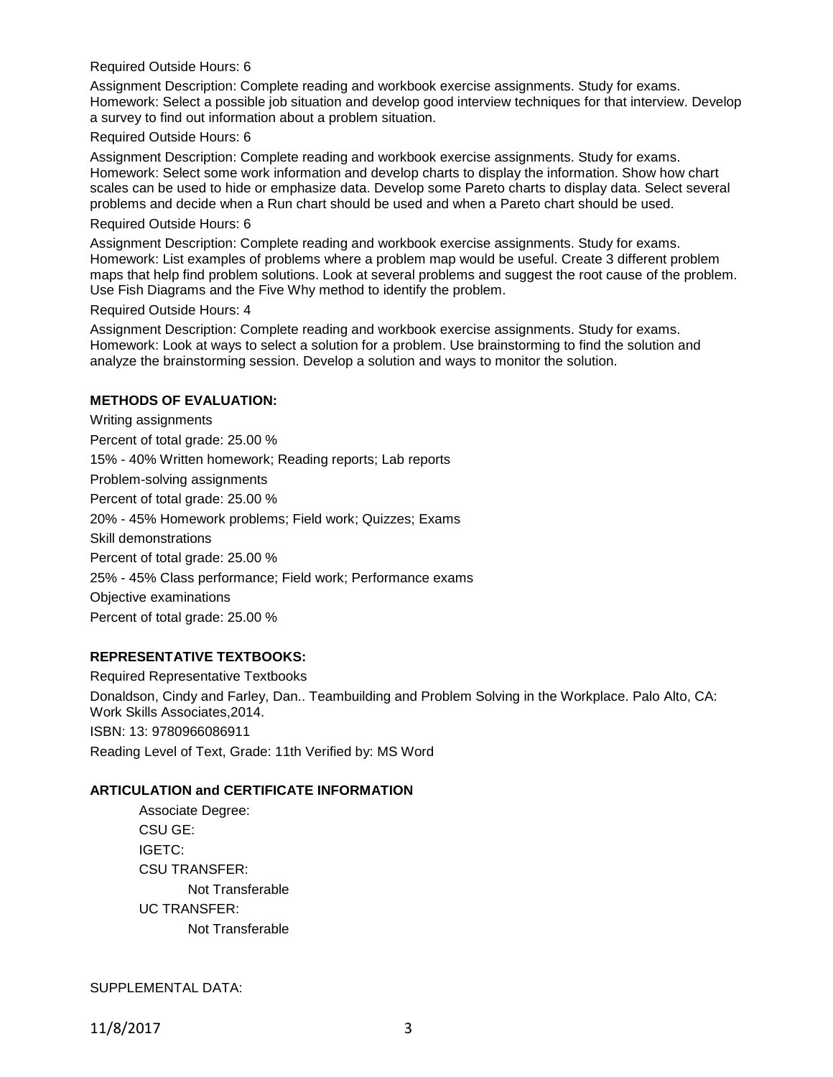#### Required Outside Hours: 6

Assignment Description: Complete reading and workbook exercise assignments. Study for exams. Homework: Select a possible job situation and develop good interview techniques for that interview. Develop a survey to find out information about a problem situation.

#### Required Outside Hours: 6

Assignment Description: Complete reading and workbook exercise assignments. Study for exams. Homework: Select some work information and develop charts to display the information. Show how chart scales can be used to hide or emphasize data. Develop some Pareto charts to display data. Select several problems and decide when a Run chart should be used and when a Pareto chart should be used.

#### Required Outside Hours: 6

Assignment Description: Complete reading and workbook exercise assignments. Study for exams. Homework: List examples of problems where a problem map would be useful. Create 3 different problem maps that help find problem solutions. Look at several problems and suggest the root cause of the problem. Use Fish Diagrams and the Five Why method to identify the problem.

#### Required Outside Hours: 4

Assignment Description: Complete reading and workbook exercise assignments. Study for exams. Homework: Look at ways to select a solution for a problem. Use brainstorming to find the solution and analyze the brainstorming session. Develop a solution and ways to monitor the solution.

## **METHODS OF EVALUATION:**

Writing assignments Percent of total grade: 25.00 % 15% - 40% Written homework; Reading reports; Lab reports Problem-solving assignments Percent of total grade: 25.00 % 20% - 45% Homework problems; Field work; Quizzes; Exams Skill demonstrations Percent of total grade: 25.00 % 25% - 45% Class performance; Field work; Performance exams Objective examinations Percent of total grade: 25.00 %

### **REPRESENTATIVE TEXTBOOKS:**

Required Representative Textbooks Donaldson, Cindy and Farley, Dan.. Teambuilding and Problem Solving in the Workplace. Palo Alto, CA: Work Skills Associates,2014. ISBN: 13: 9780966086911 Reading Level of Text, Grade: 11th Verified by: MS Word

### **ARTICULATION and CERTIFICATE INFORMATION**

Associate Degree: CSU GE: IGETC: CSU TRANSFER: Not Transferable UC TRANSFER: Not Transferable

SUPPLEMENTAL DATA: